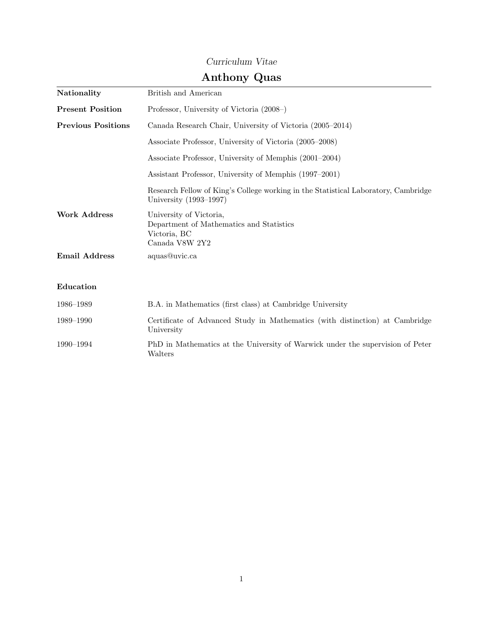## Curriculum Vitae

# Anthony Quas

| Nationality               | British and American                                                                                         |
|---------------------------|--------------------------------------------------------------------------------------------------------------|
| <b>Present Position</b>   | Professor, University of Victoria (2008–)                                                                    |
| <b>Previous Positions</b> | Canada Research Chair, University of Victoria (2005–2014)                                                    |
|                           | Associate Professor, University of Victoria (2005–2008)                                                      |
|                           | Associate Professor, University of Memphis (2001–2004)                                                       |
|                           | Assistant Professor, University of Memphis (1997-2001)                                                       |
|                           | Research Fellow of King's College working in the Statistical Laboratory, Cambridge<br>University (1993–1997) |
| <b>Work Address</b>       | University of Victoria,<br>Department of Mathematics and Statistics<br>Victoria, BC<br>Canada V8W 2Y2        |
| <b>Email Address</b>      | aquas@uvic.ca                                                                                                |
| Education                 |                                                                                                              |
| 1986-1989                 | B.A. in Mathematics (first class) at Cambridge University                                                    |
| 1989–1990                 | Certificate of Advanced Study in Mathematics (with distinction) at Cambridge<br>University                   |
| 1990-1994                 | PhD in Mathematics at the University of Warwick under the supervision of Peter<br>Walters                    |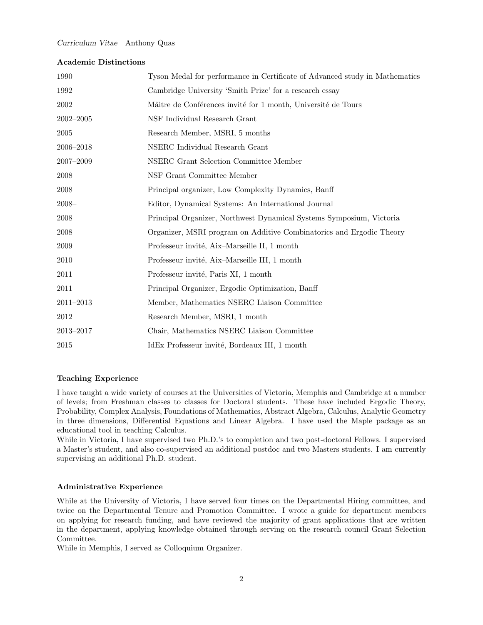#### Academic Distinctions

| 1990          | Tyson Medal for performance in Certificate of Advanced study in Mathematics |
|---------------|-----------------------------------------------------------------------------|
| 1992          | Cambridge University 'Smith Prize' for a research essay                     |
| 2002          | Mâitre de Conférences invité for 1 month, Université de Tours               |
| $2002 - 2005$ | NSF Individual Research Grant                                               |
| 2005          | Research Member, MSRI, 5 months                                             |
| $2006 - 2018$ | NSERC Individual Research Grant                                             |
| $2007 - 2009$ | NSERC Grant Selection Committee Member                                      |
| 2008          | NSF Grant Committee Member                                                  |
| 2008          | Principal organizer, Low Complexity Dynamics, Banff                         |
| $2008 -$      | Editor, Dynamical Systems: An International Journal                         |
| 2008          | Principal Organizer, Northwest Dynamical Systems Symposium, Victoria        |
| 2008          | Organizer, MSRI program on Additive Combinatorics and Ergodic Theory        |
| 2009          | Professeur invité, Aix-Marseille II, 1 month                                |
| 2010          | Professeur invité, Aix-Marseille III, 1 month                               |
| 2011          | Professeur invité, Paris XI, 1 month                                        |
| 2011          | Principal Organizer, Ergodic Optimization, Banff                            |
| $2011 - 2013$ | Member, Mathematics NSERC Liaison Committee                                 |
| 2012          | Research Member, MSRI, 1 month                                              |
| $2013 - 2017$ | Chair, Mathematics NSERC Liaison Committee                                  |
| 2015          | IdEx Professeur invité, Bordeaux III, 1 month                               |

### Teaching Experience

I have taught a wide variety of courses at the Universities of Victoria, Memphis and Cambridge at a number of levels; from Freshman classes to classes for Doctoral students. These have included Ergodic Theory, Probability, Complex Analysis, Foundations of Mathematics, Abstract Algebra, Calculus, Analytic Geometry in three dimensions, Differential Equations and Linear Algebra. I have used the Maple package as an educational tool in teaching Calculus.

While in Victoria, I have supervised two Ph.D.'s to completion and two post-doctoral Fellows. I supervised a Master's student, and also co-supervised an additional postdoc and two Masters students. I am currently supervising an additional Ph.D. student.

### Administrative Experience

While at the University of Victoria, I have served four times on the Departmental Hiring committee, and twice on the Departmental Tenure and Promotion Committee. I wrote a guide for department members on applying for research funding, and have reviewed the majority of grant applications that are written in the department, applying knowledge obtained through serving on the research council Grant Selection Committee.

While in Memphis, I served as Colloquium Organizer.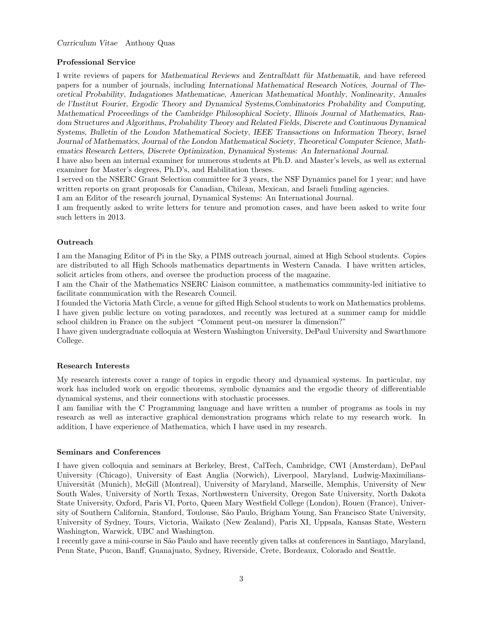#### Professional Service

I write reviews of papers for Mathematical Reviews and Zentralblatt für Mathematik, and have refereed papers for a number of journals, including International Mathematical Research Notices, Journal of Theoretical Probability, Indagationes Mathematicae, American Mathematical Monthly, Nonlinearity, Annales de l'Institut Fourier, Ergodic Theory and Dynamical Systems,Combinatorics Probability and Computing, Mathematical Proceedings of the Cambridge Philosophical Society, Illinois Journal of Mathematics, Random Structures and Algorithms, Probability Theory and Related Fields, Discrete and Continuous Dynamical Systems, Bulletin of the London Mathematical Society, IEEE Transactions on Information Theory, Israel Journal of Mathematics, Journal of the London Mathematical Society, Theoretical Computer Science, Mathematics Research Letters, Discrete Optimization, Dynamical Systems: An International Journal.

I have also been an internal examiner for numerous students at Ph.D. and Master's levels, as well as external examiner for Master's degrees, Ph.D's, and Habilitation theses.

I served on the NSERC Grant Selection committee for 3 years, the NSF Dynamics panel for 1 year; and have written reports on grant proposals for Canadian, Chilean, Mexican, and Israeli funding agencies.

I am an Editor of the research journal, Dynamical Systems: An International Journal.

I am frequently asked to write letters for tenure and promotion cases, and have been asked to write four such letters in 2013.

#### **Outreach**

I am the Managing Editor of Pi in the Sky, a PIMS outreach journal, aimed at High School students. Copies are distributed to all High Schools mathematics departments in Western Canada. I have written articles, solicit articles from others, and oversee the production process of the magazine.

I am the Chair of the Mathematics NSERC Liaison committee, a mathematics community-led initiative to facilitate communication with the Research Council.

I founded the Victoria Math Circle, a venue for gifted High School students to work on Mathematics problems. I have given public lecture on voting paradoxes, and recently was lectured at a summer camp for middle school children in France on the subject "Comment peut-on mesurer la dimension?"

I have given undergraduate colloquia at Western Washington University, DePaul University and Swarthmore College.

#### Research Interests

My research interests cover a range of topics in ergodic theory and dynamical systems. In particular, my work has included work on ergodic theorems, symbolic dynamics and the ergodic theory of differentiable dynamical systems, and their connections with stochastic processes.

I am familiar with the C Programming language and have written a number of programs as tools in my research as well as interactive graphical demonstration programs which relate to my research work. In addition, I have experience of Mathematica, which I have used in my research.

### Seminars and Conferences

I have given colloquia and seminars at Berkeley, Brest, CalTech, Cambridge, CWI (Amsterdam), DePaul University (Chicago), University of East Anglia (Norwich), Liverpool, Maryland, Ludwig-Maximilians-Universität (Munich), McGill (Montreal), University of Maryland, Marseille, Memphis, University of New South Wales, University of North Texas, Northwestern University, Oregon Sate University, North Dakota State University, Oxford, Paris VI, Porto, Queen Mary Westfield College (London), Rouen (France), University of Southern California, Stanford, Toulouse, São Paulo, Brigham Young, San Francisco State University, University of Sydney, Tours, Victoria, Waikato (New Zealand), Paris XI, Uppsala, Kansas State, Western Washington, Warwick, UBC and Washington.

I recently gave a mini-course in S˜ao Paulo and have recently given talks at conferences in Santiago, Maryland, Penn State, Pucon, Banff, Guanajuato, Sydney, Riverside, Crete, Bordeaux, Colorado and Seattle.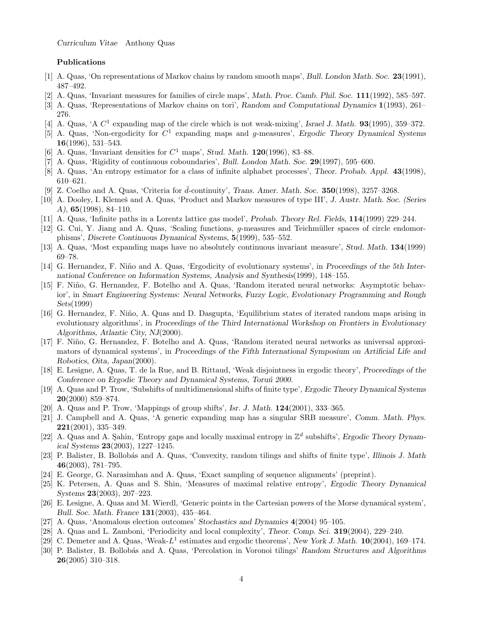#### Publications

- [1] A. Quas, 'On representations of Markov chains by random smooth maps', Bull. London Math. Soc. 23(1991), 487–492.
- [2] A. Quas, 'Invariant measures for families of circle maps', Math. Proc. Camb. Phil. Soc. 111(1992), 585–597.
- [3] A. Quas, 'Representations of Markov chains on tori', Random and Computational Dynamics 1(1993), 261– 276.
- [4] A. Quas, 'A  $C^1$  expanding map of the circle which is not weak-mixing', Israel J. Math. **93**(1995), 359-372.
- [5] A. Quas, 'Non-ergodicity for  $C^1$  expanding maps and g-measures', Ergodic Theory Dynamical Systems 16(1996), 531–543.
- [6] A. Quas, 'Invariant densities for  $C^1$  maps', Stud. Math. 120(1996), 83-88.
- [7] A. Quas, 'Rigidity of continuous coboundaries', Bull. London Math. Soc. 29(1997), 595–600.
- [8] A. Quas, 'An entropy estimator for a class of infinite alphabet processes', Theor. Probab. Appl. 43(1998), 610–621.
- [9] Z. Coelho and A. Quas, 'Criteria for  $\bar{d}$ -continuity', Trans. Amer. Math. Soc. 350(1998), 3257–3268.
- [10] A. Dooley, I. Klemeš and A. Quas, 'Product and Markov measures of type III', J. Austr. Math. Soc. (Series A), 65(1998), 84–110.
- [11] A. Quas, 'Infinite paths in a Lorentz lattice gas model', Probab. Theory Rel. Fields, 114(1999) 229–244.
- [12] G. Cui, Y. Jiang and A. Quas, 'Scaling functions, q-measures and Teichmüller spaces of circle endomorphisms', Discrete Continuous Dynamical Systems, 5(1999), 535–552.
- [13] A. Quas, 'Most expanding maps have no absolutely continuous invariant measure', Stud. Math. 134(1999) 69–78.
- [14] G. Hernandez, F. Niño and A. Quas, 'Ergodicity of evolutionary systems', in Proceedings of the 5th International Conference on Information Systems, Analysis and Synthesis(1999), 148–155.
- [15] F. Niño, G. Hernandez, F. Botelho and A. Quas, 'Random iterated neural networks: Asymptotic behavior', in Smart Engineering Systems: Neural Networks, Fuzzy Logic, Evolutionary Programming and Rough Sets(1999)
- [16] G. Hernandez, F. Niño, A. Quas and D. Dasgupta, 'Equilibrium states of iterated random maps arising in evolutionary algorithms', in Proceedings of the Third International Workshop on Frontiers in Evolutionary Algorithms, Atlantic City, NJ(2000).
- [17] F. Niño, G. Hernandez, F. Botelho and A. Quas, 'Random iterated neural networks as universal approximators of dynamical systems', in Proceedings of the Fifth International Symposium on Artificial Life and Robotics, Oita, Japan(2000).
- [18] E. Lesigne, A. Quas, T. de la Rue, and B. Rittaud, 'Weak disjointness in ergodic theory', Proceedings of the Conference on Ergodic Theory and Dynamical Systems, Toruń 2000.
- [19] A. Quas and P. Trow, 'Subshifts of multidimensional shifts of finite type', Ergodic Theory Dynamical Systems 20(2000) 859–874.
- [20] A. Quas and P. Trow, 'Mappings of group shifts', Isr. J. Math.  $124(2001)$ , 333–365.
- [21] J. Campbell and A. Quas, 'A generic expanding map has a singular SRB measure', Comm. Math. Phys. 221(2001), 335–349.
- [22] A. Quas and A. Sahin, 'Entropy gaps and locally maximal entropy in  $\mathbb{Z}^d$  subshifts', Ergodic Theory Dynamical Systems 23(2003), 1227–1245.
- [23] P. Balister, B. Bollobás and A. Quas, 'Convexity, random tilings and shifts of finite type', Illinois J. Math 46(2003), 781–795.
- [24] E. George, G. Narasimhan and A. Quas, 'Exact sampling of sequence alignments' (preprint).
- [25] K. Petersen, A. Quas and S. Shin, 'Measures of maximal relative entropy', Ergodic Theory Dynamical Systems 23(2003), 207–223.
- [26] E. Lesigne, A. Quas and M. Wierdl, 'Generic points in the Cartesian powers of the Morse dynamical system', Bull. Soc. Math. France 131(2003), 435–464.
- [27] A. Quas, 'Anomalous election outcomes' Stochastics and Dynamics 4(2004) 95–105.
- [28] A. Quas and L. Zamboni, 'Periodicity and local complexity', Theor. Comp. Sci. 319(2004), 229–240.
- [29] C. Demeter and A. Quas, 'Weak- $L^1$  estimates and ergodic theorems', New York J. Math.  $10(2004)$ , 169-174.
- [30] P. Balister, B. Bollobás and A. Quas, 'Percolation in Voronoi tilings' Random Structures and Algorithms 26(2005) 310–318.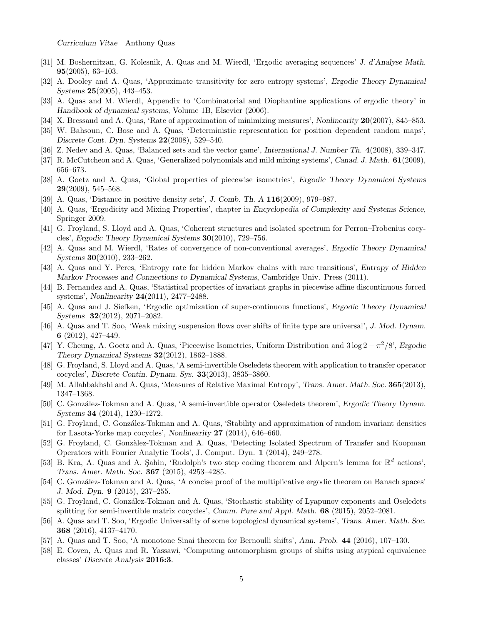- [31] M. Boshernitzan, G. Kolesnik, A. Quas and M. Wierdl, 'Ergodic averaging sequences' J. d'Analyse Math. 95(2005), 63–103.
- [32] A. Dooley and A. Quas, 'Approximate transitivity for zero entropy systems', Ergodic Theory Dynamical Systems 25(2005), 443–453.
- [33] A. Quas and M. Wierdl, Appendix to 'Combinatorial and Diophantine applications of ergodic theory' in Handbook of dynamical systems, Volume 1B, Elsevier (2006).
- [34] X. Bressaud and A. Quas, 'Rate of approximation of minimizing measures', Nonlinearity 20(2007), 845–853.
- [35] W. Bahsoun, C. Bose and A. Quas, 'Deterministic representation for position dependent random maps', Discrete Cont. Dyn. Systems 22(2008), 529–540.
- [36] Z. Nedev and A. Quas, 'Balanced sets and the vector game', International J. Number Th. 4(2008), 339–347.
- [37] R. McCutcheon and A. Quas, 'Generalized polynomials and mild mixing systems', Canad. J. Math. 61(2009), 656–673.
- [38] A. Goetz and A. Quas, 'Global properties of piecewise isometries', Ergodic Theory Dynamical Systems  $29(2009)$ , 545–568.
- [39] A. Quas, 'Distance in positive density sets', J. Comb. Th. A 116(2009), 979–987.
- [40] A. Quas, 'Ergodicity and Mixing Properties', chapter in Encyclopedia of Complexity and Systems Science, Springer 2009.
- [41] G. Froyland, S. Lloyd and A. Quas, 'Coherent structures and isolated spectrum for Perron–Frobenius cocycles', Ergodic Theory Dynamical Systems 30(2010), 729–756.
- [42] A. Quas and M. Wierdl, 'Rates of convergence of non-conventional averages', Ergodic Theory Dynamical Systems 30(2010), 233–262.
- [43] A. Quas and Y. Peres, 'Entropy rate for hidden Markov chains with rare transitions', Entropy of Hidden Markov Processes and Connections to Dynamical Systems, Cambridge Univ. Press (2011).
- [44] B. Fernandez and A. Quas, 'Statistical properties of invariant graphs in piecewise affine discontinuous forced systems', Nonlinearity 24(2011), 2477–2488.
- [45] A. Quas and J. Siefken, 'Ergodic optimization of super-continuous functions', Ergodic Theory Dynamical Systems 32(2012), 2071–2082.
- [46] A. Quas and T. Soo, 'Weak mixing suspension flows over shifts of finite type are universal', J. Mod. Dynam. 6 (2012), 427–449.
- [47] Y. Cheung, A. Goetz and A. Quas, 'Piecewise Isometries, Uniform Distribution and  $3 \log 2 \pi^2/8$ ', Ergodic Theory Dynamical Systems 32(2012), 1862–1888.
- [48] G. Froyland, S. Lloyd and A. Quas, 'A semi-invertible Oseledets theorem with application to transfer operator cocycles', Discrete Contin. Dynam. Sys. 33(2013), 3835–3860.
- [49] M. Allahbakhshi and A. Quas, 'Measures of Relative Maximal Entropy', Trans. Amer. Math. Soc. 365(2013), 1347–1368.
- [50] C. González-Tokman and A. Quas, 'A semi-invertible operator Oseledets theorem', Ergodic Theory Dynam. Systems 34 (2014), 1230–1272.
- [51] G. Froyland, C. González-Tokman and A. Quas, 'Stability and approximation of random invariant densities for Lasota-Yorke map cocycles', Nonlinearity 27 (2014), 646–660.
- [52] G. Froyland, C. Gonzàlez-Tokman and A. Quas, 'Detecting Isolated Spectrum of Transfer and Koopman Operators with Fourier Analytic Tools', J. Comput. Dyn. 1 (2014), 249–278.
- [53] B. Kra, A. Quas and A. Sahin, 'Rudolph's two step coding theorem and Alpern's lemma for  $\mathbb{R}^d$  actions', Trans. Amer. Math. Soc. 367 (2015), 4253–4285.
- [54] C. González-Tokman and A. Quas, 'A concise proof of the multiplicative ergodic theorem on Banach spaces' J. Mod. Dyn. 9 (2015), 237–255.
- [55] G. Froyland, C. González-Tokman and A. Quas, 'Stochastic stability of Lyapunov exponents and Oseledets splitting for semi-invertible matrix cocycles', Comm. Pure and Appl. Math. 68 (2015), 2052–2081.
- [56] A. Quas and T. Soo, 'Ergodic Universality of some topological dynamical systems', Trans. Amer. Math. Soc. 368 (2016), 4137–4170.
- [57] A. Quas and T. Soo, 'A monotone Sinai theorem for Bernoulli shifts', Ann. Prob. 44 (2016), 107–130.
- [58] E. Coven, A. Quas and R. Yassawi, 'Computing automorphism groups of shifts using atypical equivalence classes' Discrete Analysis 2016:3.